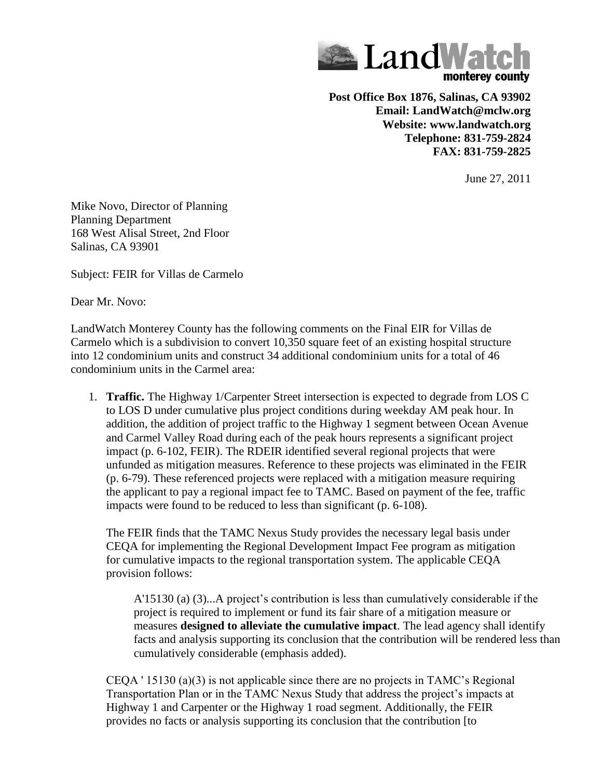

**Post Office Box 1876, Salinas, CA 93902 Email: LandWatch@mclw.org Website: www.landwatch.org Telephone: 831-759-2824 FAX: 831-759-2825**

June 27, 2011

Mike Novo, Director of Planning Planning Department 168 West Alisal Street, 2nd Floor Salinas, CA 93901

Subject: FEIR for Villas de Carmelo

Dear Mr. Novo:

LandWatch Monterey County has the following comments on the Final EIR for Villas de Carmelo which is a subdivision to convert 10,350 square feet of an existing hospital structure into 12 condominium units and construct 34 additional condominium units for a total of 46 condominium units in the Carmel area:

1. **Traffic.** The Highway 1/Carpenter Street intersection is expected to degrade from LOS C to LOS D under cumulative plus project conditions during weekday AM peak hour. In addition, the addition of project traffic to the Highway 1 segment between Ocean Avenue and Carmel Valley Road during each of the peak hours represents a significant project impact (p. 6-102, FEIR). The RDEIR identified several regional projects that were unfunded as mitigation measures. Reference to these projects was eliminated in the FEIR (p. 6-79). These referenced projects were replaced with a mitigation measure requiring the applicant to pay a regional impact fee to TAMC. Based on payment of the fee, traffic impacts were found to be reduced to less than significant (p. 6-108).

The FEIR finds that the TAMC Nexus Study provides the necessary legal basis under CEQA for implementing the Regional Development Impact Fee program as mitigation for cumulative impacts to the regional transportation system. The applicable CEQA provision follows:

A'15130 (a) (3)...A project's contribution is less than cumulatively considerable if the project is required to implement or fund its fair share of a mitigation measure or measures **designed to alleviate the cumulative impact**. The lead agency shall identify facts and analysis supporting its conclusion that the contribution will be rendered less than cumulatively considerable (emphasis added).

CEQA ' 15130 (a)(3) is not applicable since there are no projects in TAMC's Regional Transportation Plan or in the TAMC Nexus Study that address the project's impacts at Highway 1 and Carpenter or the Highway 1 road segment. Additionally, the FEIR provides no facts or analysis supporting its conclusion that the contribution [to